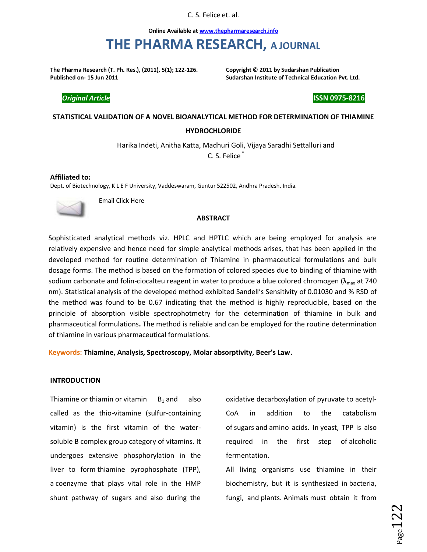C. S. Felice et. al.

**Online Available at www.thepharmaresearch.info**

# **THE PHARMA RESEARCH, A JOURNAL**

**The Pharma Research (T. Ph. Res.), (2011), 5(1); 122-126. Copyright © 2011 by Sudarshan Publication Published on- 15 Jun 2011 Sudarshan Institute of Technical Education Pvt. Ltd.** 

*Original Article* **ISSN 0975-8216**

## **STATISTICAL VALIDATION OF A NOVEL BIOANALYTICAL METHOD FOR DETERMINATION OF THIAMINE**

#### **HYDROCHLORIDE**

Harika Indeti, Anitha Katta, Madhuri Goli, Vijaya Saradhi Settalluri and

C. S. Felice

**Affiliated to:**  Dept. of Biotechnology, K L E F University, Vaddeswaram, Guntur 522502, Andhra Pradesh, India.



Email Click Here

## **ABSTRACT**

Sophisticated analytical methods viz. HPLC and HPTLC which are being employed for analysis are relatively expensive and hence need for simple analytical methods arises, that has been applied in the developed method for routine determination of Thiamine in pharmaceutical formulations and bulk dosage forms. The method is based on the formation of colored species due to binding of thiamine with sodium carbonate and folin-ciocalteu reagent in water to produce a blue colored chromogen  $(\lambda_{\text{max}}$  at 740 nm). Statistical analysis of the developed method exhibited Sandell's Sensitivity of 0.01030 and % RSD of the method was found to be 0.67 indicating that the method is highly reproducible, based on the principle of absorption visible spectrophotmetry for the determination of thiamine in bulk and pharmaceutical formulations**.** The method is reliable and can be employed for the routine determination of thiamine in various pharmaceutical formulations.

**Keywords: Thiamine, Analysis, Spectroscopy, Molar absorptivity, Beer's Law.**

#### **INTRODUCTION**

Thiamine or thiamin or vitamin  $B_1$  and also called as the thio-vitamine (sulfur-containing vitamin) is the first vitamin of the watersoluble B complex group category of vitamins. It undergoes extensive phosphorylation in the liver to form thiamine pyrophosphate (TPP), a coenzyme that plays vital role in the HMP shunt pathway of sugars and also during the

oxidative decarboxylation of pyruvate to acetyl-CoA in addition to the catabolism of sugars and amino acids. In yeast, TPP is also required in the first step of alcoholic fermentation.

All living organisms use thiamine in their biochemistry, but it is synthesized in bacteria, fungi, and plants. Animals must obtain it from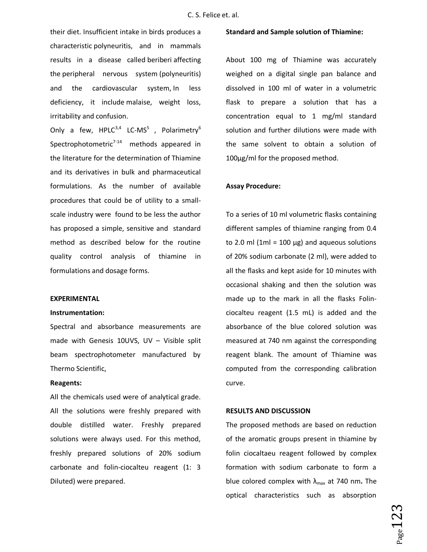their diet. Insufficient intake in birds produces a characteristic polyneuritis, and in mammals results in a disease called beriberi affecting the peripheral nervous system (polyneuritis) and the cardiovascular system, In less deficiency, it include malaise, weight loss, irritability and confusion.

Only a few,  $HPLC^{3,4}$  LC-MS<sup>5</sup>, Polarimetry<sup>6</sup> Spectrophotometric<sup>7-14</sup> methods appeared in the literature for the determination of Thiamine and its derivatives in bulk and pharmaceutical formulations. As the number of available procedures that could be of utility to a smallscale industry were found to be less the author has proposed a simple, sensitive and standard method as described below for the routine quality control analysis of thiamine in formulations and dosage forms.

#### **EXPERIMENTAL**

#### **Instrumentation:**

Spectral and absorbance measurements are made with Genesis 10UVS, UV – Visible split beam spectrophotometer manufactured by Thermo Scientific,

## **Reagents:**

All the chemicals used were of analytical grade. All the solutions were freshly prepared with double distilled water. Freshly prepared solutions were always used. For this method, freshly prepared solutions of 20% sodium carbonate and folin-ciocalteu reagent (1: 3 Diluted) were prepared.

#### **Standard and Sample solution of Thiamine:**

About 100 mg of Thiamine was accurately weighed on a digital single pan balance and dissolved in 100 ml of water in a volumetric flask to prepare a solution that has a concentration equal to 1 mg/ml standard solution and further dilutions were made with the same solvent to obtain a solution of 100μg/ml for the proposed method.

#### **Assay Procedure:**

To a series of 10 ml volumetric flasks containing different samples of thiamine ranging from 0.4 to 2.0 ml (1ml = 100  $\mu$ g) and aqueous solutions of 20% sodium carbonate (2 ml), were added to all the flasks and kept aside for 10 minutes with occasional shaking and then the solution was made up to the mark in all the flasks Folinciocalteu reagent (1.5 mL) is added and the absorbance of the blue colored solution was measured at 740 nm against the corresponding reagent blank. The amount of Thiamine was computed from the corresponding calibration curve.

### **RESULTS AND DISCUSSION**

The proposed methods are based on reduction of the aromatic groups present in thiamine by folin ciocaltaeu reagent followed by complex formation with sodium carbonate to form a blue colored complex with  $\lambda_{\text{max}}$  at 740 nm. The optical characteristics such as absorption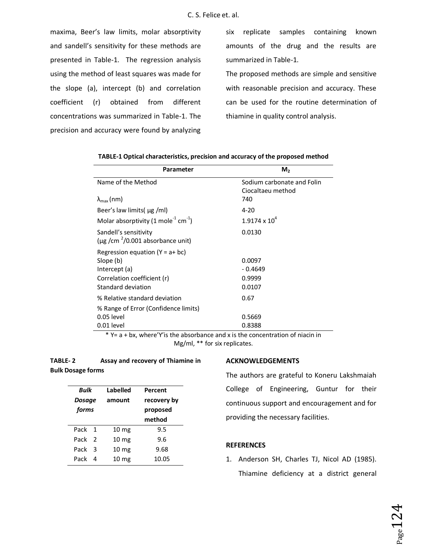maxima, Beer's law limits, molar absorptivity and sandell's sensitivity for these methods are presented in Table-1. The regression analysis using the method of least squares was made for the slope (a), intercept (b) and correlation coefficient (r) obtained from different concentrations was summarized in Table-1. The precision and accuracy were found by analyzing

six replicate samples containing known amounts of the drug and the results are summarized in Table-1.

The proposed methods are simple and sensitive with reasonable precision and accuracy. These can be used for the routine determination of thiamine in quality control analysis.

| Parameter                                                       | M <sub>2</sub>                                  |
|-----------------------------------------------------------------|-------------------------------------------------|
| Name of the Method                                              | Sodium carbonate and Folin<br>Ciocaltaeu method |
| $\lambda_{\text{max}}$ (nm)                                     | 740                                             |
| Beer's law limits $\mu$ g /ml)                                  | $4 - 20$                                        |
| Molar absorptivity (1 mole <sup>-1</sup> cm <sup>-1</sup> )     | $1.9174 \times 10^{4}$                          |
| Sandell's sensitivity<br>(µg /cm $^{2}$ /0.001 absorbance unit) | 0.0130                                          |
| Regression equation $(Y = a + bc)$                              |                                                 |
| Slope (b)                                                       | 0.0097                                          |
| Intercept (a)                                                   | $-0.4649$                                       |
| Correlation coefficient (r)                                     | 0.9999                                          |
| Standard deviation                                              | 0.0107                                          |
| % Relative standard deviation                                   | 0.67                                            |
| % Range of Error (Confidence limits)                            |                                                 |
| $0.05$ level                                                    | 0.5669                                          |
| 0.01 level                                                      | 0.8388                                          |

|  | TABLE-1 Optical characteristics, precision and accuracy of the proposed method |
|--|--------------------------------------------------------------------------------|
|--|--------------------------------------------------------------------------------|

\* Y= a + bx, where'Y'is the absorbance and x is the concentration of niacin in Mg/ml, \*\* for six replicates.

# **TABLE- 2 Assay and recovery of Thiamine in Bulk Dosage forms**

| Bulk<br>Dosage<br>forms |   | Labelled<br>amount | Percent<br>recovery by<br>proposed<br>method |
|-------------------------|---|--------------------|----------------------------------------------|
| Pack 1                  |   | 10 <sub>mg</sub>   | 9.5                                          |
| Pack                    | 2 | 10 <sub>mg</sub>   | 9.6                                          |
| Pack                    | 3 | 10 <sub>mg</sub>   | 9.68                                         |
| Pack                    | Δ | 10 <sub>mg</sub>   | 10.05                                        |

## **ACKNOWLEDGEMENTS**

The authors are grateful to Koneru Lakshmaiah College of Engineering, Guntur for their continuous support and encouragement and for providing the necessary facilities.

## **REFERENCES**

1. Anderson SH, Charles TJ, Nicol AD (1985). Thiamine deficiency at a district general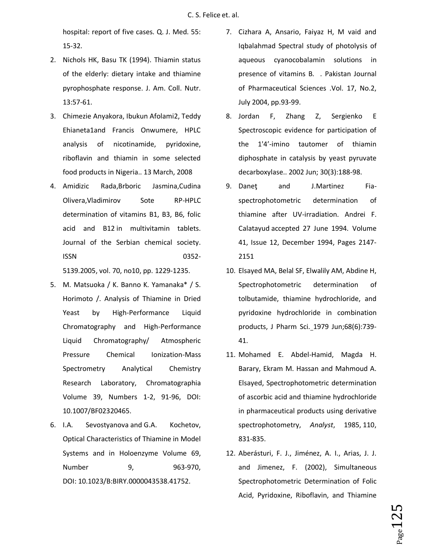hospital: report of five cases. Q. J. Med. 55: 15-32.

- 2. Nichols HK, Basu TK (1994). Thiamin status of the elderly: dietary intake and thiamine pyrophosphate response. J. Am. Coll. Nutr. 13:57-61.
- 3. Chimezie Anyakora, Ibukun Afolami2, Teddy Ehianeta1and Francis Onwumere, HPLC analysis of nicotinamide, pyridoxine, riboflavin and thiamin in some selected food products in Nigeria.. 13 March, 2008
- 4. Amidizic Rada,Brboric Jasmina,Cudina Olivera,Vladimirov Sote RP-HPLC determination of vitamins B1, B3, B6, folic acid and B12 in multivitamin tablets. Journal of the Serbian chemical society. ISSN 0352- 5139.2005, vol. 70, no10, pp. 1229-1235.
- 5. M. Matsuoka / K. Banno K. Yamanaka\* / S. Horimoto /. Analysis of Thiamine in Dried Yeast by High-Performance Liquid Chromatography and High-Performance Liquid Chromatography/ Atmospheric Pressure Chemical Ionization-Mass Spectrometry Analytical Chemistry Research Laboratory, Chromatographia Volume 39, Numbers 1-2, 91-96, DOI: 10.1007/BF02320465.
- 6. I.A. Sevostyanova and G.A. Kochetov, Optical Characteristics of Thiamine in Model Systems and in Holoenzyme Volume 69, Number 9, 963-970, DOI: 10.1023/B:BIRY.0000043538.41752.
- 7. Cizhara A, Ansario, Faiyaz H, M vaid and Iqbalahmad Spectral study of photolysis of aqueous cyanocobalamin solutions in presence of vitamins B. . Pakistan Journal of Pharmaceutical Sciences .Vol. 17, No.2, July 2004, pp.93-99.
- 8. Jordan F, Zhang Z, Sergienko E Spectroscopic evidence for participation of the 1'4'-imino tautomer of thiamin diphosphate in catalysis by yeast pyruvate decarboxylase.. 2002 Jun; 30(3):188-98.
- 9. Daneţ and J.Martinez Fiaspectrophotometric determination of thiamine after UV-irradiation. Andrei F. Calatayud accepted 27 June 1994. Volume 41, Issue 12, December 1994, Pages 2147- 2151
- 10. Elsayed MA, Belal SF, Elwalily AM, Abdine H, Spectrophotometric determination of tolbutamide, thiamine hydrochloride, and pyridoxine hydrochloride in combination products, J Pharm Sci. 1979 Jun;68(6):739- 41.
- 11. Mohamed E. Abdel-Hamid, Magda H. Barary, Ekram M. Hassan and Mahmoud A. Elsayed, Spectrophotometric determination of ascorbic acid and thiamine hydrochloride in pharmaceutical products using derivative spectrophotometry, *Analyst*, 1985, 110, 831-835.
- 12. Aberásturi, F. J., Jiménez, A. I., Arias, J. J. and Jimenez, F. (2002), Simultaneous Spectrophotometric Determination of Folic Acid, Pyridoxine, Riboflavin, and Thiamine